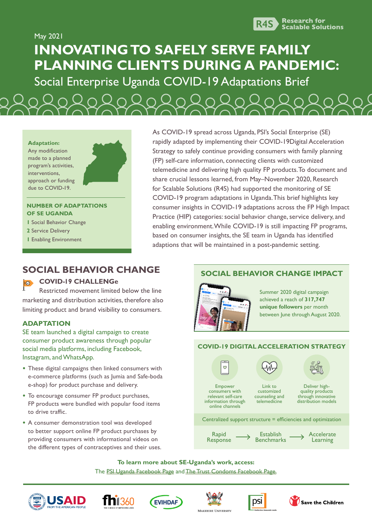

May 2021

# **INNOVATING TO SAFELY SERVE FAMILY PLANNING CLIENTS DURING A PANDEMIC:**

Social Enterprise Uganda COVID-19 Adaptations Brief





#### **NUMBER OF ADAPTATIONS OF SE UGANDA**

- **1** Social Behavior Change
- **2** Service Delivery
- **1** Enabling Environment

As COVID-19 spread across Uganda, PSI's Social Enterprise (SE) rapidly adapted by implementing their COVID-19Digital Acceleration Strategy to safely continue providing consumers with family planning (FP) self-care information, connecting clients with customized telemedicine and delivering high quality FP products. To document and share crucial lessons learned, from May–November 2020, Research for Scalable Solutions (R4S) had supported the monitoring of SE COVID-19 program adaptations in Uganda. This brief highlights key consumer insights in COVID-19 adaptations across the FP High Impact Practice (HIP) categories: social behavior change, service delivery, and enabling environment. While COVID-19 is still impacting FP programs, based on consumer insights, the SE team in Uganda has identified adaptions that will be maintained in a post-pandemic setting.

# **SOCIAL BEHAVIOR CHANGE**

#### **COVID-19 CHALLENGe**  $\overline{\mathbf{R}}$

Restricted movement limited below the line marketing and distribution activities, therefore also limiting product and brand visibility to consumers.

## **ADAPTATION**

SE team launched a digital campaign to create consumer product awareness through popular social media platforms, including Facebook, Instagram, and WhatsApp.

- **•** These digital campaigns then linked consumers with e-commerce platforms (such as Jumia and Safe-boda e-shop) for product purchase and delivery.
- **•** To encourage consumer FP product purchases, FP products were bundled with popular food items to drive traffic.
- **•** A consumer demonstration tool was developed to better support online FP product purchases by providing consumers with informational videos on the different types of contraceptives and their uses.

# **SOCIAL BEHAVIOR CHANGE IMPACT**



Summer 2020 digital campaign achieved a reach of **317,747 unique followers** per month between June through August 2020.

## **COVID-19 DIGITAL ACCELERATION STRATEGY**



**To learn more about SE-Uganda's work, access:**  The [PSI Uganda Facebook Page](https://www.facebook.com/PSIUganda/) and [The Trust Condoms Facebook Page.](https://www.facebook.com/TRUSTCondomsUG)